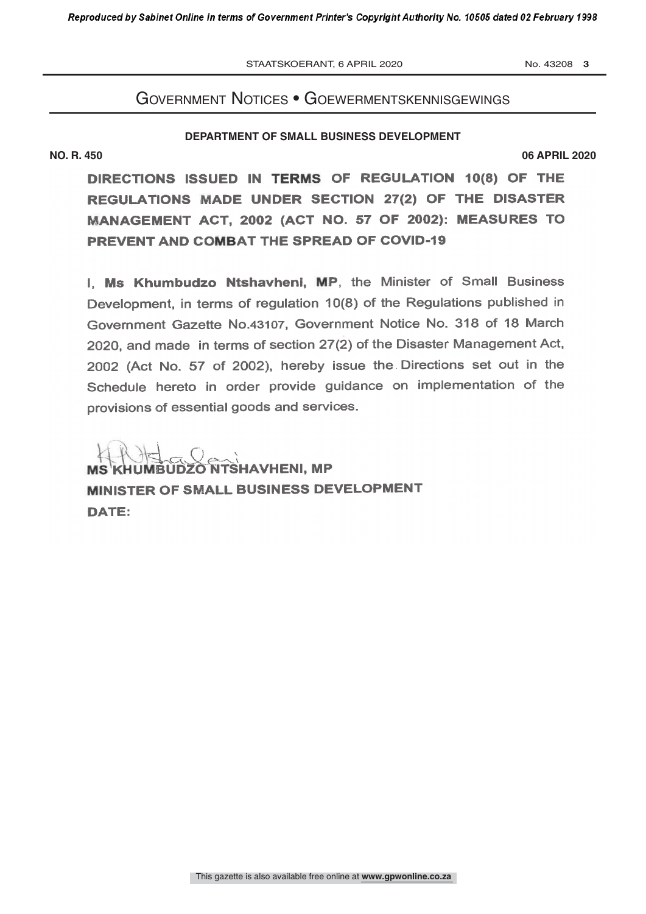STAATSKOERANT, 6 APRIL 2020 No. 43208 3

ME MARINE SERVICE SERVICE SERVICE SERVICE

### Government notices • GoewermentskennisGewinGs

no. 2020. – 2020. – 2020. – 2020. – 2020. – 2020. – 2020. – 2020. – 2020. – 2020. – 2020. – 2020. – 2020. – 20<br>No. 2020. – 2020. – 2020. – 2020. – 2020. – 2020. – 2020. – 2020. – 2020. – 2020. – 2020. – 2020. – 2020. – 20

#### **DEPARTMENT OF SMALL BUSINESS DEVELOPMENT**

**NO. R. 450 06 APRIL 2020**

PREVENT AND COMBAT THE SPREAD OF COVID-19 DIRECTIONS ISSUED IN TERMS OF REGULATION 10(8) OF THE REGULATIONS MADE UNDER SECTION 27(2) OF THE DISASTER MANAGEMENT ACT, 2002 (ACT NO. 57 OF 2002): MEASURES TO

I. Ms Khumbudzo Ntshavheni, MP, the Minister of Small Business Development, in terms of regulation 10(8) of the Regulations published in Government Gazette No.43107, Government Notice No. 318 of 18 March 2020, and made in terms of section 27(2) of the Disaster Management Act, 2002 (Act No. 57 of 2002), hereby issue the . Directions set out in the Schedule hereto in order provide guidance on implementation of the provisions of essential goods and services.

 $\overline{\mathbb{C}}$   $\overline{\mathbb{C}}$   $\overline{\mathbb{C}}$   $\overline{\mathbb{C}}$   $\overline{\mathbb{C}}$   $\overline{\mathbb{C}}$   $\overline{\mathbb{C}}$   $\overline{\mathbb{C}}$   $\overline{\mathbb{C}}$   $\overline{\mathbb{C}}$   $\overline{\mathbb{C}}$   $\overline{\mathbb{C}}$   $\overline{\mathbb{C}}$   $\overline{\mathbb{C}}$   $\overline{\mathbb{C}}$   $\overline{\mathbb{C}}$   $\overline{\mathbb{C}}$   $\overline{\mathbb{C}}$   $\overline{\$ NISTER OF SMALL BUSINESS DEVELOPMENT DATE: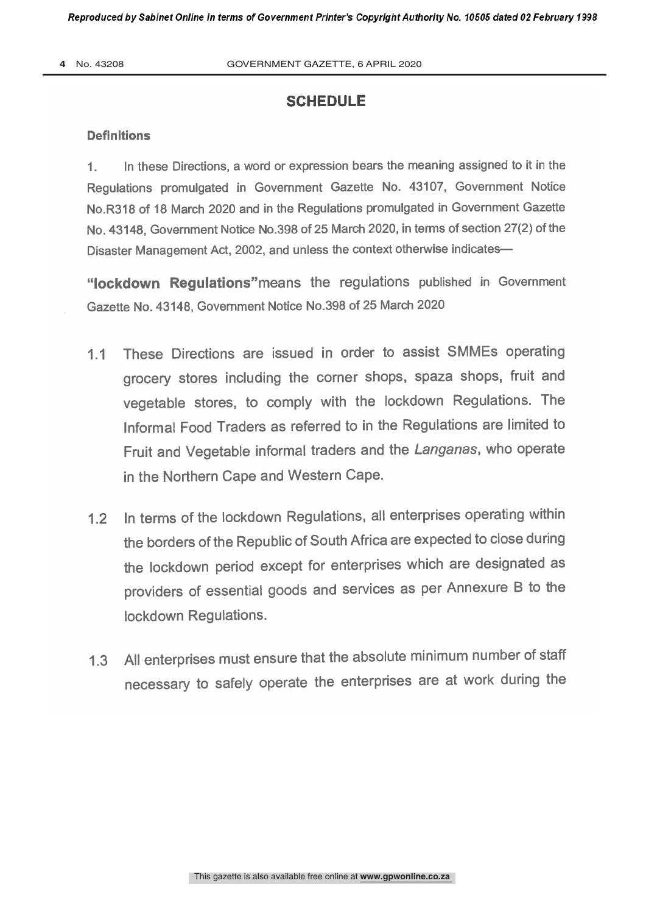## **SCHEDULE**

#### **Definitions**

1. In these Directions, a word or expression bears the meaning assigned to it in the Regulations promulgated in Government Gazette No. 43107, Government Notice No.R318 of 18 March 2020 and in the Regulations promulgated in Government Gazette No. 43148, Government Notice No.398 of 25 March 2020, in terms of section 27(2) of the Disaster Management Act, 2002, and unless the context otherwise indicates-

"lockdown Requiations" means the regulations published in Government Gazette No. 43148, Government Notice No.398 of 25 March 2020

- 1.1 These Directions are issued in order to assist SMMEs operating grocery stores including the corner shops, spaza shops, fruit and vegetable stores, to comply with the lockdown Regulations. The Informal Food Traders as referred to in the Regulations are limited to Fruit and Vegetable informal traders and the Langanas, who operate in the Northern Cape and Western Cape.
- 1.2 In terms of the lockdown Regulations, all enterprises operating within the borders of the Republic of South Africa are expected to close during the lockdown period except for enterprises which are designated as providers of essential goods and services as per Annexure B to the lockdown Regulations.
- 1.3 All enterprises must ensure that the absolute minimum number of staff necessary to safely operate the enterprises are at work during the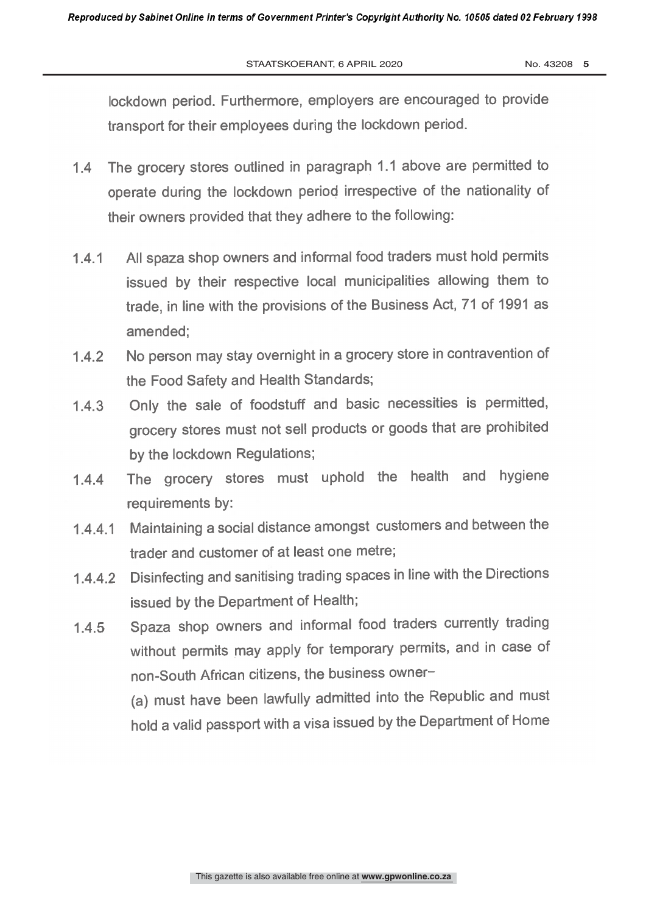STAATSKOERANT, 6 APRIL 2020 No. 43208 5

lockdown period. Furthermore, employers are encouraged to provide transport for their employees during the lockdown period.

- 1.4 The grocery stores outlined in paragraph 1.1 above are permitted to operate during the lockdown period irrespective of the nationality of their owners provided that they adhere to the following:
- 1.4.1 All spaza shop owners and informal food traders must hold permits issued by their respective local municipalities allowing them to trade, in line with the provisions of the Business Act, 71 of 1991 as amended;
- 1.4.2 No person may stay overnight in a grocery store in contravention of the Food Safety and Health Standards;
- 1.4.3 Only the sale of foodstuff and basic necessities is permitted, grocery stores must not sell products or goods that are prohibited by the lockdown Regulations;
- 1.4.4 The grocery stores must uphold the health and hygiene requirements by:
- 1.4.4.1 Maintaining a social distance amongst customers and between the trader and customer of at least one metre;
- 1.4.4.2 Disinfecting and sanitising trading spaces in line with the Directions issued by the Department of Health;
- 1.4.5 Spaza shop owners and informal food traders currently trading without permits may apply for temporary permits, and in case of non-South African citizens, the business owner-

(a) must have been lawfully admitted into the Republic and must hold a valid passport with a visa issued by the Department of Home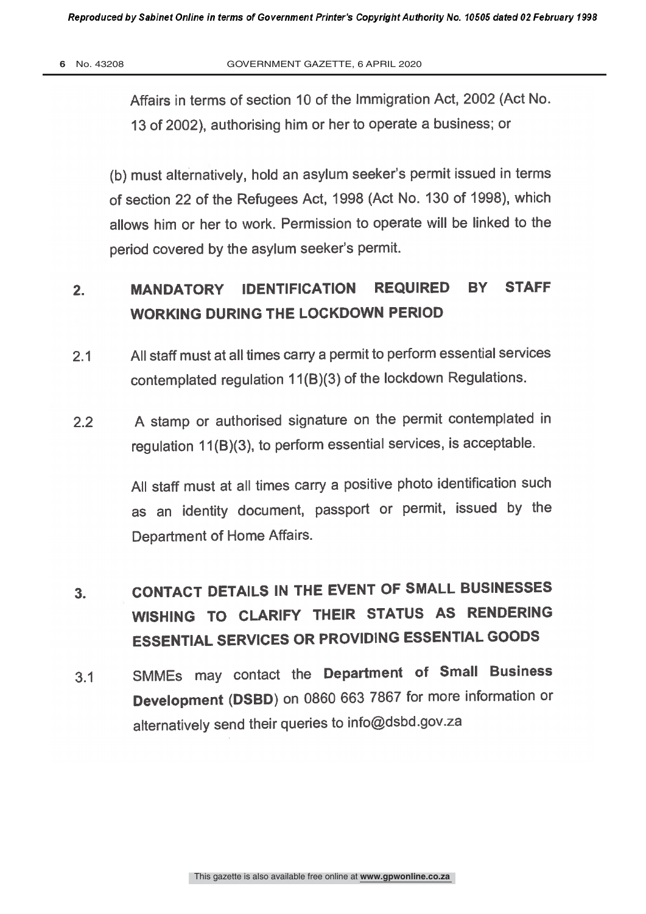Affairs in terms of section 10 of the Immigration Act, 2002 (Act No. 13 of 2002), authorising him or her to operate a business; or

(b) must alternatively, hold an asylum seeker's permit issued in terms of section 22 of the Refugees Act, 1998 (Act No. 130 of 1998), which allows him or her to work. Permission to operate will be linked to the period covered by the asylum seeker's permit.

## 2. MANDATORY IDENTIFICATION REQUIRED BY STAFF WORKING DURING THE LOCKDOWN PERIOD

- 2.1 All staff must at all times carry a permit to perform essential services contemplated regulation 11(B)(3) of the lockdown Regulations.
- 2.2 A stamp or authorised signature on the permit contemplated in regulation 11(B)(3), to perform essential services, is acceptable.

All staff must at all times carry a positive photo identification such as an identity document, passport or permit, issued by the Department of Home Affairs.

# 3. CONTACT DETAILS IN THE EVENT OF SMALL BUSINESSES WISHING TO CLARIFY THEIR STATUS AS RENDERING ESSENTIAL SERVICES OR PROVIDING ESSENTIAL GOODS

3.1 SMMEs may contact the Department of Small Business Development (DSBD) on 0860 663 7867 for more information or alternatively send their queries to info@dsbd.gov.za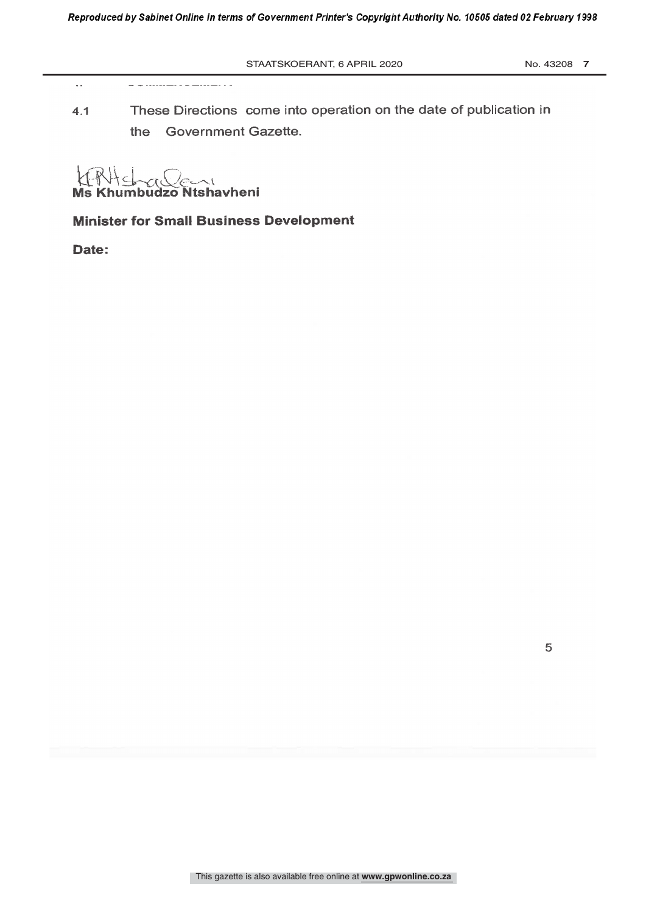$\bar{\omega}$ 

4.1 These Directions come into operation on the date of publication in the Government Gazette.

¡ Ms Khumbudzo Ntshavheni

**Minister for Small Business Development** 

Date: